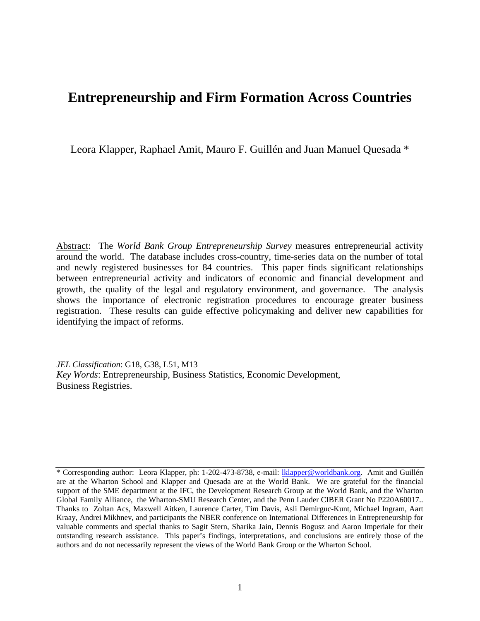# **Entrepreneurship and Firm Formation Across Countries**

Leora Klapper, Raphael Amit, Mauro F. Guillén and Juan Manuel Quesada \*

Abstract: The *World Bank Group Entrepreneurship Survey* measures entrepreneurial activity around the world. The database includes cross-country, time-series data on the number of total and newly registered businesses for 84 countries. This paper finds significant relationships between entrepreneurial activity and indicators of economic and financial development and growth, the quality of the legal and regulatory environment, and governance. The analysis shows the importance of electronic registration procedures to encourage greater business registration. These results can guide effective policymaking and deliver new capabilities for identifying the impact of reforms.

*JEL Classification*: G18, G38, L51, M13 *Key Words*: Entrepreneurship, Business Statistics, Economic Development, Business Registries.

<sup>\*</sup> Corresponding author: Leora Klapper, ph: 1-202-473-8738, e-mail: lklapper@worldbank.org. Amit and Guillén are at the Wharton School and Klapper and Quesada are at the World Bank. We are grateful for the financial support of the SME department at the IFC, the Development Research Group at the World Bank, and the Wharton Global Family Alliance, the Wharton-SMU Research Center, and the Penn Lauder CIBER Grant No P220A60017.. Thanks to Zoltan Acs, Maxwell Aitken, Laurence Carter, Tim Davis, Asli Demirguc-Kunt, Michael Ingram, Aart Kraay, Andrei Mikhnev, and participants the NBER conference on International Differences in Entrepreneurship for valuable comments and special thanks to Sagit Stern, Sharika Jain, Dennis Bogusz and Aaron Imperiale for their outstanding research assistance. This paper's findings, interpretations, and conclusions are entirely those of the authors and do not necessarily represent the views of the World Bank Group or the Wharton School.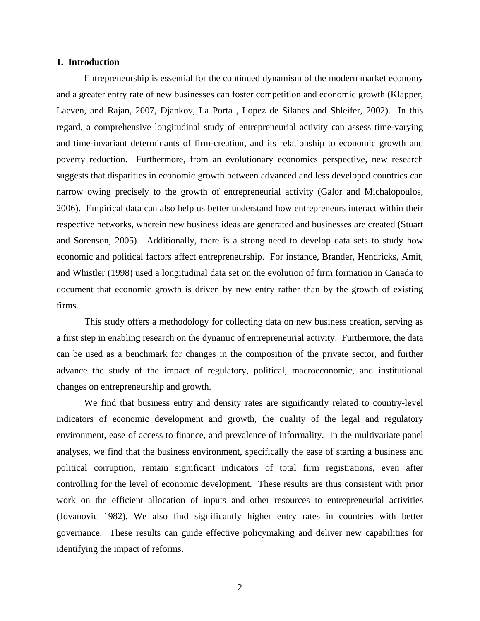#### **1. Introduction**

 Entrepreneurship is essential for the continued dynamism of the modern market economy and a greater entry rate of new businesses can foster competition and economic growth (Klapper, Laeven, and Rajan, 2007, Djankov, La Porta , Lopez de Silanes and Shleifer, 2002). In this regard, a comprehensive longitudinal study of entrepreneurial activity can assess time-varying and time-invariant determinants of firm-creation, and its relationship to economic growth and poverty reduction. Furthermore, from an evolutionary economics perspective, new research suggests that disparities in economic growth between advanced and less developed countries can narrow owing precisely to the growth of entrepreneurial activity (Galor and Michalopoulos, 2006). Empirical data can also help us better understand how entrepreneurs interact within their respective networks, wherein new business ideas are generated and businesses are created (Stuart and Sorenson, 2005). Additionally, there is a strong need to develop data sets to study how economic and political factors affect entrepreneurship. For instance, Brander, Hendricks, Amit, and Whistler (1998) used a longitudinal data set on the evolution of firm formation in Canada to document that economic growth is driven by new entry rather than by the growth of existing firms.

This study offers a methodology for collecting data on new business creation, serving as a first step in enabling research on the dynamic of entrepreneurial activity. Furthermore, the data can be used as a benchmark for changes in the composition of the private sector, and further advance the study of the impact of regulatory, political, macroeconomic, and institutional changes on entrepreneurship and growth.

 We find that business entry and density rates are significantly related to country-level indicators of economic development and growth, the quality of the legal and regulatory environment, ease of access to finance, and prevalence of informality. In the multivariate panel analyses, we find that the business environment, specifically the ease of starting a business and political corruption, remain significant indicators of total firm registrations, even after controlling for the level of economic development. These results are thus consistent with prior work on the efficient allocation of inputs and other resources to entrepreneurial activities (Jovanovic 1982). We also find significantly higher entry rates in countries with better governance. These results can guide effective policymaking and deliver new capabilities for identifying the impact of reforms.

2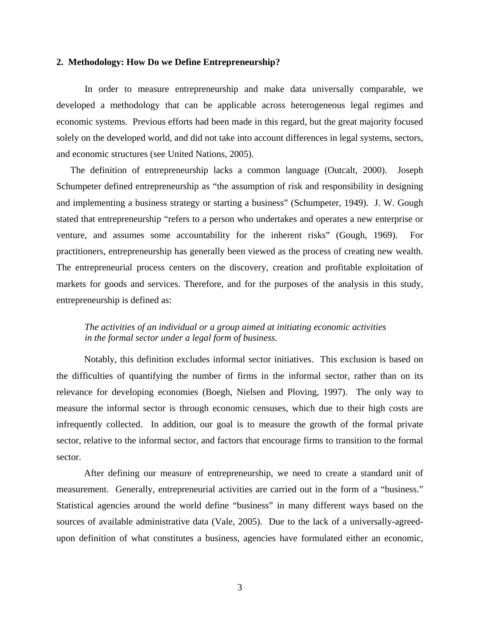#### **2. Methodology: How Do we Define Entrepreneurship?**

In order to measure entrepreneurship and make data universally comparable, we developed a methodology that can be applicable across heterogeneous legal regimes and economic systems. Previous efforts had been made in this regard, but the great majority focused solely on the developed world, and did not take into account differences in legal systems, sectors, and economic structures (see United Nations, 2005).

The definition of entrepreneurship lacks a common language (Outcalt, 2000). Joseph Schumpeter defined entrepreneurship as "the assumption of risk and responsibility in designing and implementing a business strategy or starting a business" (Schumpeter, 1949). J. W. Gough stated that entrepreneurship "refers to a person who undertakes and operates a new enterprise or venture, and assumes some accountability for the inherent risks" (Gough, 1969). For practitioners, entrepreneurship has generally been viewed as the process of creating new wealth. The entrepreneurial process centers on the discovery, creation and profitable exploitation of markets for goods and services. Therefore, and for the purposes of the analysis in this study, entrepreneurship is defined as:

## *The activities of an individual or a group aimed at initiating economic activities in the formal sector under a legal form of business.*

Notably, this definition excludes informal sector initiatives. This exclusion is based on the difficulties of quantifying the number of firms in the informal sector, rather than on its relevance for developing economies (Boegh, Nielsen and Ploving, 1997). The only way to measure the informal sector is through economic censuses, which due to their high costs are infrequently collected. In addition, our goal is to measure the growth of the formal private sector, relative to the informal sector, and factors that encourage firms to transition to the formal sector.

 After defining our measure of entrepreneurship, we need to create a standard unit of measurement. Generally, entrepreneurial activities are carried out in the form of a "business." Statistical agencies around the world define "business" in many different ways based on the sources of available administrative data (Vale, 2005). Due to the lack of a universally-agreedupon definition of what constitutes a business, agencies have formulated either an economic,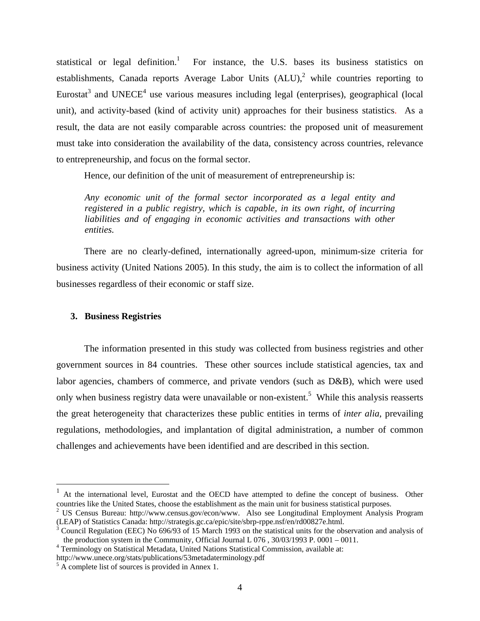statistical or legal definition.<sup>1</sup> For instance, the U.S. bases its business statistics on establishments, Canada reports Average Labor Units  $(ALU)$ , while countries reporting to Eurostat<sup>3</sup> and UNECE<sup>4</sup> use various measures including legal (enterprises), geographical (local unit), and activity-based (kind of activity unit) approaches for their business statistics. As a result, the data are not easily comparable across countries: the proposed unit of measurement must take into consideration the availability of the data, consistency across countries, relevance to entrepreneurship, and focus on the formal sector.

Hence, our definition of the unit of measurement of entrepreneurship is:

*Any economic unit of the formal sector incorporated as a legal entity and registered in a public registry, which is capable, in its own right, of incurring*  liabilities and of engaging in economic activities and transactions with other *entities.* 

There are no clearly-defined, internationally agreed-upon, minimum-size criteria for business activity (United Nations 2005). In this study, the aim is to collect the information of all businesses regardless of their economic or staff size.

## **3. Business Registries**

 $\overline{a}$ 

 The information presented in this study was collected from business registries and other government sources in 84 countries. These other sources include statistical agencies, tax and labor agencies, chambers of commerce, and private vendors (such as D&B), which were used only when business registry data were unavailable or non-existent.<sup>5</sup> While this analysis reasserts the great heterogeneity that characterizes these public entities in terms of *inter alia*, prevailing regulations, methodologies, and implantation of digital administration, a number of common challenges and achievements have been identified and are described in this section.

<sup>&</sup>lt;sup>1</sup> At the international level, Eurostat and the OECD have attempted to define the concept of business. Other countries like the United States, choose the establishment as the main unit for business statistical purposes.

<sup>&</sup>lt;sup>2</sup> US Census Bureau: http://www.census.gov/econ/www. Also see Longitudinal Employment Analysis Program (LEAP) of Statistics Canada: http://strategis.gc.ca/epic/site/sbrp-rppe.nsf/en/rd00827e.html. 3

Council Regulation (EEC) No 696/93 of 15 March 1993 on the statistical units for the observation and analysis of the production system in the Community, Official Journal L  $076$ ,  $30/03/1993$  P.  $0001 - 0011$ .

Terminology on Statistical Metadata, United Nations Statistical Commission, available at:

http://www.unece.org/stats/publications/53metadaterminology.pdf 5

 $5 \text{ Å}$  complete list of sources is provided in Annex 1.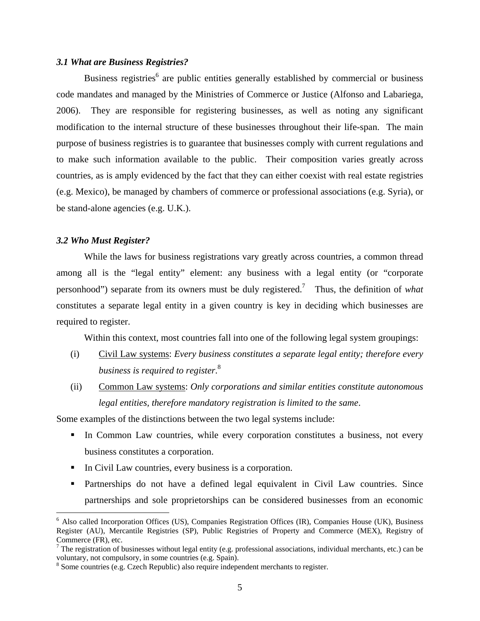## *3.1 What are Business Registries?*

Business registries<sup>6</sup> are public entities generally established by commercial or business code mandates and managed by the Ministries of Commerce or Justice (Alfonso and Labariega, 2006). They are responsible for registering businesses, as well as noting any significant modification to the internal structure of these businesses throughout their life-span. The main purpose of business registries is to guarantee that businesses comply with current regulations and to make such information available to the public. Their composition varies greatly across countries, as is amply evidenced by the fact that they can either coexist with real estate registries (e.g. Mexico), be managed by chambers of commerce or professional associations (e.g. Syria), or be stand-alone agencies (e.g. U.K.).

#### *3.2 Who Must Register?*

 $\overline{a}$ 

While the laws for business registrations vary greatly across countries, a common thread among all is the "legal entity" element: any business with a legal entity (or "corporate personhood") separate from its owners must be duly registered.7 Thus, the definition of *what* constitutes a separate legal entity in a given country is key in deciding which businesses are required to register.

Within this context, most countries fall into one of the following legal system groupings:

- (i) Civil Law systems: *Every business constitutes a separate legal entity; therefore every business is required to register*. 8
- (ii) Common Law systems: *Only corporations and similar entities constitute autonomous legal entities, therefore mandatory registration is limited to the same*.

Some examples of the distinctions between the two legal systems include:

- In Common Law countries, while every corporation constitutes a business, not every business constitutes a corporation.
- In Civil Law countries, every business is a corporation.
- Partnerships do not have a defined legal equivalent in Civil Law countries. Since partnerships and sole proprietorships can be considered businesses from an economic

<sup>6</sup> Also called Incorporation Offices (US), Companies Registration Offices (IR), Companies House (UK), Business Register (AU), Mercantile Registries (SP), Public Registries of Property and Commerce (MEX), Registry of Commerce (FR), etc.

<sup>&</sup>lt;sup>7</sup> The registration of businesses without legal entity (e.g. professional associations, individual merchants, etc.) can be voluntary, not compulsory, in some countries (e.g. Spain).

<sup>&</sup>lt;sup>8</sup> Some countries (e.g. Czech Republic) also require independent merchants to register.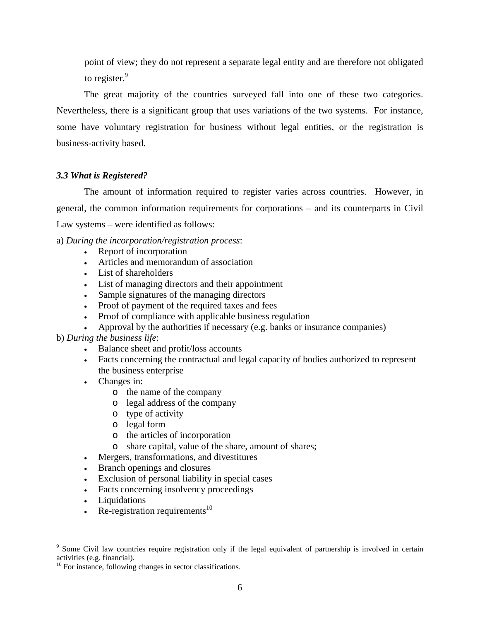point of view; they do not represent a separate legal entity and are therefore not obligated to register.<sup>9</sup>

The great majority of the countries surveyed fall into one of these two categories. Nevertheless, there is a significant group that uses variations of the two systems. For instance, some have voluntary registration for business without legal entities, or the registration is business-activity based.

# *3.3 What is Registered?*

The amount of information required to register varies across countries. However, in general, the common information requirements for corporations – and its counterparts in Civil Law systems – were identified as follows:

- a) *During the incorporation/registration process*:
	- Report of incorporation
	- Articles and memorandum of association
	- List of shareholders
	- List of managing directors and their appointment
	- Sample signatures of the managing directors
	- Proof of payment of the required taxes and fees
	- Proof of compliance with applicable business regulation
	- Approval by the authorities if necessary (e.g. banks or insurance companies)

## b) *During the business life*:

- Balance sheet and profit/loss accounts
- Facts concerning the contractual and legal capacity of bodies authorized to represent the business enterprise
- Changes in:
	- o the name of the company
	- o legal address of the company
	- o type of activity
	- o legal form
	- o the articles of incorporation
	- o share capital, value of the share, amount of shares;
- Mergers, transformations, and divestitures
- Branch openings and closures
- Exclusion of personal liability in special cases
- Facts concerning insolvency proceedings
- Liquidations

1

 $Re$ -registration requirements<sup>10</sup>

<sup>&</sup>lt;sup>9</sup> Some Civil law countries require registration only if the legal equivalent of partnership is involved in certain activities (e.g. financial).

<sup>&</sup>lt;sup>10</sup> For instance, following changes in sector classifications.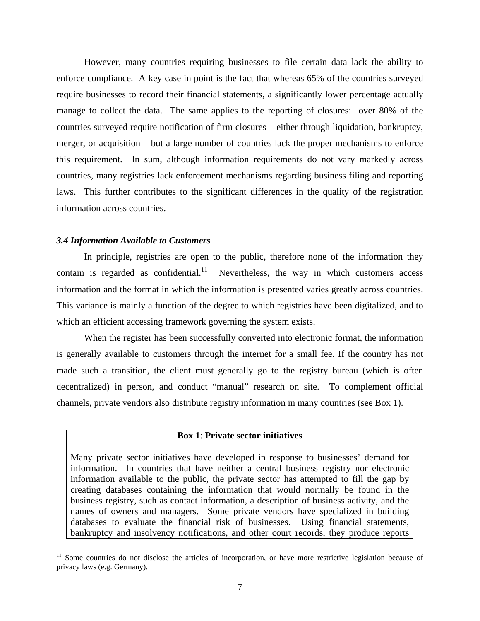However, many countries requiring businesses to file certain data lack the ability to enforce compliance. A key case in point is the fact that whereas 65% of the countries surveyed require businesses to record their financial statements, a significantly lower percentage actually manage to collect the data. The same applies to the reporting of closures: over 80% of the countries surveyed require notification of firm closures – either through liquidation, bankruptcy, merger, or acquisition – but a large number of countries lack the proper mechanisms to enforce this requirement. In sum, although information requirements do not vary markedly across countries, many registries lack enforcement mechanisms regarding business filing and reporting laws. This further contributes to the significant differences in the quality of the registration information across countries.

#### *3.4 Information Available to Customers*

 $\overline{a}$ 

In principle, registries are open to the public, therefore none of the information they contain is regarded as confidential.<sup>11</sup> Nevertheless, the way in which customers access information and the format in which the information is presented varies greatly across countries. This variance is mainly a function of the degree to which registries have been digitalized, and to which an efficient accessing framework governing the system exists.

When the register has been successfully converted into electronic format, the information is generally available to customers through the internet for a small fee. If the country has not made such a transition, the client must generally go to the registry bureau (which is often decentralized) in person, and conduct "manual" research on site. To complement official channels, private vendors also distribute registry information in many countries (see Box 1).

## **Box 1**: **Private sector initiatives**

Many private sector initiatives have developed in response to businesses' demand for information. In countries that have neither a central business registry nor electronic information available to the public, the private sector has attempted to fill the gap by creating databases containing the information that would normally be found in the business registry, such as contact information, a description of business activity, and the names of owners and managers. Some private vendors have specialized in building databases to evaluate the financial risk of businesses. Using financial statements, bankruptcy and insolvency notifications, and other court records, they produce reports

<sup>&</sup>lt;sup>11</sup> Some countries do not disclose the articles of incorporation, or have more restrictive legislation because of privacy laws (e.g. Germany).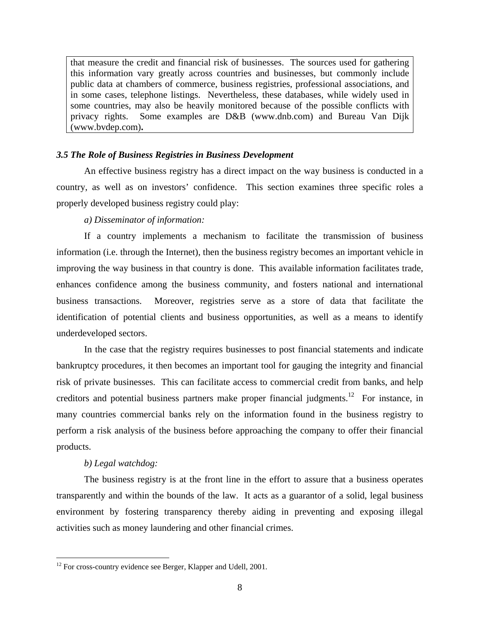that measure the credit and financial risk of businesses. The sources used for gathering this information vary greatly across countries and businesses, but commonly include public data at chambers of commerce, business registries, professional associations, and in some cases, telephone listings. Nevertheless, these databases, while widely used in some countries, may also be heavily monitored because of the possible conflicts with privacy rights. Some examples are D&B (www.dnb.com) and Bureau Van Dijk (www.bvdep.com)**.**

## *3.5 The Role of Business Registries in Business Development*

An effective business registry has a direct impact on the way business is conducted in a country, as well as on investors' confidence. This section examines three specific roles a properly developed business registry could play:

## *a) Disseminator of information:*

If a country implements a mechanism to facilitate the transmission of business information (i.e. through the Internet), then the business registry becomes an important vehicle in improving the way business in that country is done. This available information facilitates trade, enhances confidence among the business community, and fosters national and international business transactions. Moreover, registries serve as a store of data that facilitate the identification of potential clients and business opportunities, as well as a means to identify underdeveloped sectors.

 In the case that the registry requires businesses to post financial statements and indicate bankruptcy procedures, it then becomes an important tool for gauging the integrity and financial risk of private businesses. This can facilitate access to commercial credit from banks, and help creditors and potential business partners make proper financial judgments.<sup>12</sup> For instance, in many countries commercial banks rely on the information found in the business registry to perform a risk analysis of the business before approaching the company to offer their financial products.

## *b) Legal watchdog:*

 $\overline{a}$ 

The business registry is at the front line in the effort to assure that a business operates transparently and within the bounds of the law. It acts as a guarantor of a solid, legal business environment by fostering transparency thereby aiding in preventing and exposing illegal activities such as money laundering and other financial crimes.

 $12$  For cross-country evidence see Berger, Klapper and Udell, 2001.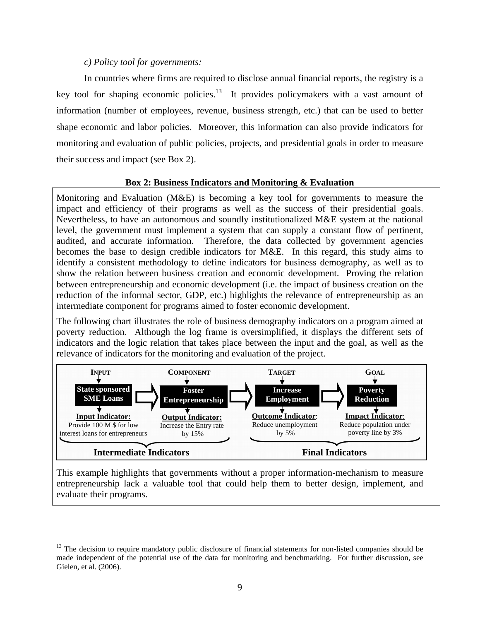## *c) Policy tool for governments:*

 $\overline{a}$ 

In countries where firms are required to disclose annual financial reports, the registry is a key tool for shaping economic policies.<sup>13</sup> It provides policymakers with a vast amount of information (number of employees, revenue, business strength, etc.) that can be used to better shape economic and labor policies. Moreover, this information can also provide indicators for monitoring and evaluation of public policies, projects, and presidential goals in order to measure their success and impact (see Box 2).

## **Box 2: Business Indicators and Monitoring & Evaluation**

Monitoring and Evaluation (M&E) is becoming a key tool for governments to measure the impact and efficiency of their programs as well as the success of their presidential goals. Nevertheless, to have an autonomous and soundly institutionalized M&E system at the national level, the government must implement a system that can supply a constant flow of pertinent, audited, and accurate information. Therefore, the data collected by government agencies becomes the base to design credible indicators for M&E. In this regard, this study aims to identify a consistent methodology to define indicators for business demography, as well as to show the relation between business creation and economic development. Proving the relation between entrepreneurship and economic development (i.e. the impact of business creation on the reduction of the informal sector, GDP, etc.) highlights the relevance of entrepreneurship as an intermediate component for programs aimed to foster economic development.

The following chart illustrates the role of business demography indicators on a program aimed at poverty reduction. Although the log frame is oversimplified, it displays the different sets of indicators and the logic relation that takes place between the input and the goal, as well as the relevance of indicators for the monitoring and evaluation of the project.



This example highlights that governments without a proper information-mechanism to measure entrepreneurship lack a valuable tool that could help them to better design, implement, and evaluate their programs.

 $13$  The decision to require mandatory public disclosure of financial statements for non-listed companies should be made independent of the potential use of the data for monitoring and benchmarking. For further discussion, see Gielen, et al. (2006).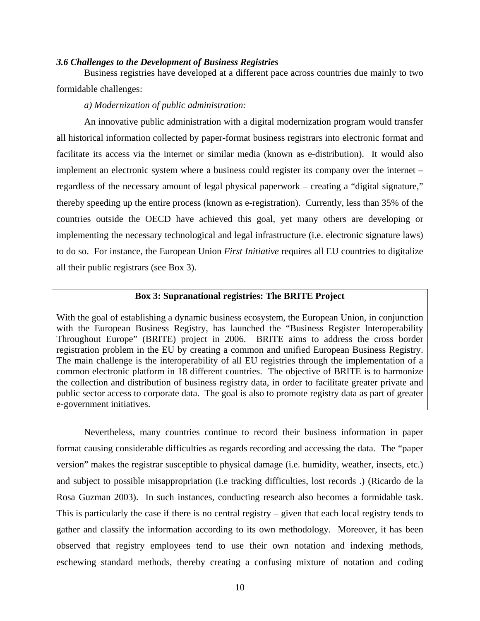#### *3.6 Challenges to the Development of Business Registries*

Business registries have developed at a different pace across countries due mainly to two formidable challenges:

## *a) Modernization of public administration:*

An innovative public administration with a digital modernization program would transfer all historical information collected by paper-format business registrars into electronic format and facilitate its access via the internet or similar media (known as e-distribution). It would also implement an electronic system where a business could register its company over the internet – regardless of the necessary amount of legal physical paperwork – creating a "digital signature," thereby speeding up the entire process (known as e-registration). Currently, less than 35% of the countries outside the OECD have achieved this goal, yet many others are developing or implementing the necessary technological and legal infrastructure (i.e. electronic signature laws) to do so. For instance, the European Union *First Initiative* requires all EU countries to digitalize all their public registrars (see Box 3).

# **Box 3: Supranational registries: The BRITE Project**

With the goal of establishing a dynamic business ecosystem, the European Union, in conjunction with the European Business Registry, has launched the "Business Register Interoperability Throughout Europe" (BRITE) project in 2006. BRITE aims to address the cross border registration problem in the EU by creating a common and unified European Business Registry. The main challenge is the interoperability of all EU registries through the implementation of a common electronic platform in 18 different countries. The objective of BRITE is to harmonize the collection and distribution of business registry data, in order to facilitate greater private and public sector access to corporate data. The goal is also to promote registry data as part of greater e-government initiatives.

Nevertheless, many countries continue to record their business information in paper format causing considerable difficulties as regards recording and accessing the data. The "paper version" makes the registrar susceptible to physical damage (i.e. humidity, weather, insects, etc.) and subject to possible misappropriation (i.e tracking difficulties, lost records .) (Ricardo de la Rosa Guzman 2003). In such instances, conducting research also becomes a formidable task. This is particularly the case if there is no central registry – given that each local registry tends to gather and classify the information according to its own methodology. Moreover, it has been observed that registry employees tend to use their own notation and indexing methods, eschewing standard methods, thereby creating a confusing mixture of notation and coding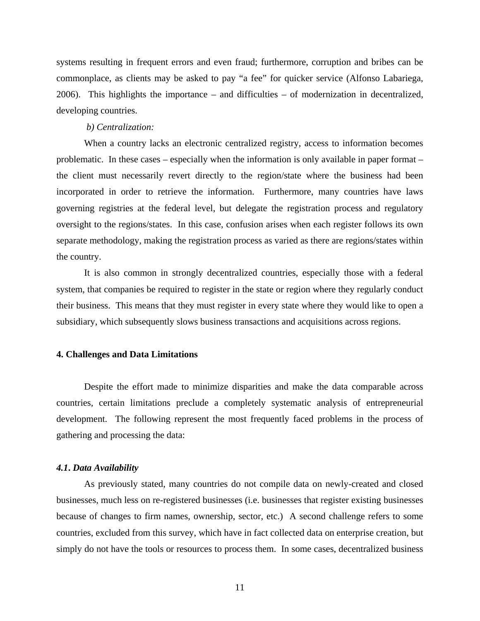systems resulting in frequent errors and even fraud; furthermore, corruption and bribes can be commonplace, as clients may be asked to pay "a fee" for quicker service (Alfonso Labariega, 2006). This highlights the importance – and difficulties – of modernization in decentralized, developing countries.

#### *b) Centralization:*

When a country lacks an electronic centralized registry, access to information becomes problematic. In these cases – especially when the information is only available in paper format – the client must necessarily revert directly to the region/state where the business had been incorporated in order to retrieve the information. Furthermore, many countries have laws governing registries at the federal level, but delegate the registration process and regulatory oversight to the regions/states. In this case, confusion arises when each register follows its own separate methodology, making the registration process as varied as there are regions/states within the country.

It is also common in strongly decentralized countries, especially those with a federal system, that companies be required to register in the state or region where they regularly conduct their business. This means that they must register in every state where they would like to open a subsidiary, which subsequently slows business transactions and acquisitions across regions.

#### **4. Challenges and Data Limitations**

Despite the effort made to minimize disparities and make the data comparable across countries, certain limitations preclude a completely systematic analysis of entrepreneurial development. The following represent the most frequently faced problems in the process of gathering and processing the data:

#### *4.1***.** *Data Availability*

As previously stated, many countries do not compile data on newly-created and closed businesses, much less on re-registered businesses (i.e. businesses that register existing businesses because of changes to firm names, ownership, sector, etc.) A second challenge refers to some countries, excluded from this survey, which have in fact collected data on enterprise creation, but simply do not have the tools or resources to process them. In some cases, decentralized business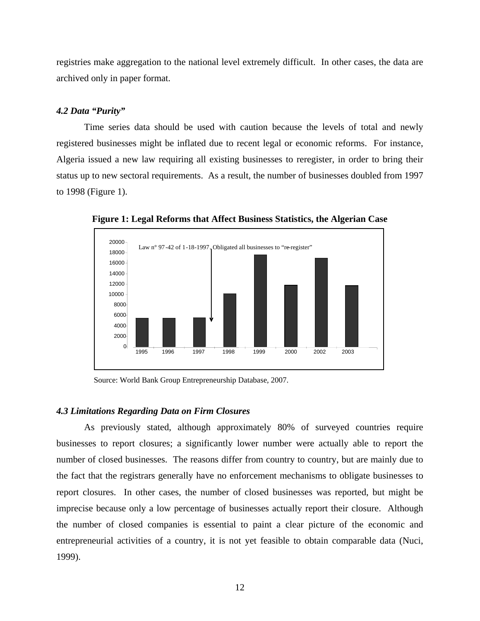registries make aggregation to the national level extremely difficult. In other cases, the data are archived only in paper format.

#### *4.2 Data "Purity"*

Time series data should be used with caution because the levels of total and newly registered businesses might be inflated due to recent legal or economic reforms. For instance, Algeria issued a new law requiring all existing businesses to reregister, in order to bring their status up to new sectoral requirements. As a result, the number of businesses doubled from 1997 to 1998 (Figure 1).



**Figure 1: Legal Reforms that Affect Business Statistics, the Algerian Case** 

Source: World Bank Group Entrepreneurship Database, 2007.

#### *4.3 Limitations Regarding Data on Firm Closures*

As previously stated, although approximately 80% of surveyed countries require businesses to report closures; a significantly lower number were actually able to report the number of closed businesses. The reasons differ from country to country, but are mainly due to the fact that the registrars generally have no enforcement mechanisms to obligate businesses to report closures. In other cases, the number of closed businesses was reported, but might be imprecise because only a low percentage of businesses actually report their closure. Although the number of closed companies is essential to paint a clear picture of the economic and entrepreneurial activities of a country, it is not yet feasible to obtain comparable data (Nuci, 1999).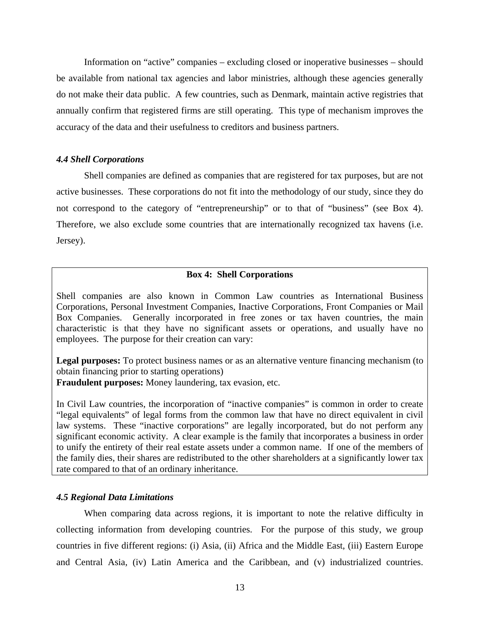Information on "active" companies – excluding closed or inoperative businesses – should be available from national tax agencies and labor ministries, although these agencies generally do not make their data public. A few countries, such as Denmark, maintain active registries that annually confirm that registered firms are still operating. This type of mechanism improves the accuracy of the data and their usefulness to creditors and business partners.

#### *4.4 Shell Corporations*

Shell companies are defined as companies that are registered for tax purposes, but are not active businesses. These corporations do not fit into the methodology of our study, since they do not correspond to the category of "entrepreneurship" or to that of "business" (see Box 4). Therefore, we also exclude some countries that are internationally recognized tax havens (i.e. Jersey).

### **Box 4: Shell Corporations**

Shell companies are also known in Common Law countries as International Business Corporations, Personal Investment Companies, Inactive Corporations, Front Companies or Mail Box Companies. Generally incorporated in free zones or tax haven countries, the main characteristic is that they have no significant assets or operations, and usually have no employees. The purpose for their creation can vary:

**Legal purposes:** To protect business names or as an alternative venture financing mechanism (to obtain financing prior to starting operations)

**Fraudulent purposes:** Money laundering, tax evasion, etc.

In Civil Law countries, the incorporation of "inactive companies" is common in order to create "legal equivalents" of legal forms from the common law that have no direct equivalent in civil law systems. These "inactive corporations" are legally incorporated, but do not perform any significant economic activity. A clear example is the family that incorporates a business in order to unify the entirety of their real estate assets under a common name. If one of the members of the family dies, their shares are redistributed to the other shareholders at a significantly lower tax rate compared to that of an ordinary inheritance.

## *4.5 Regional Data Limitations*

When comparing data across regions, it is important to note the relative difficulty in collecting information from developing countries. For the purpose of this study, we group countries in five different regions: (i) Asia, (ii) Africa and the Middle East, (iii) Eastern Europe and Central Asia, (iv) Latin America and the Caribbean, and (v) industrialized countries.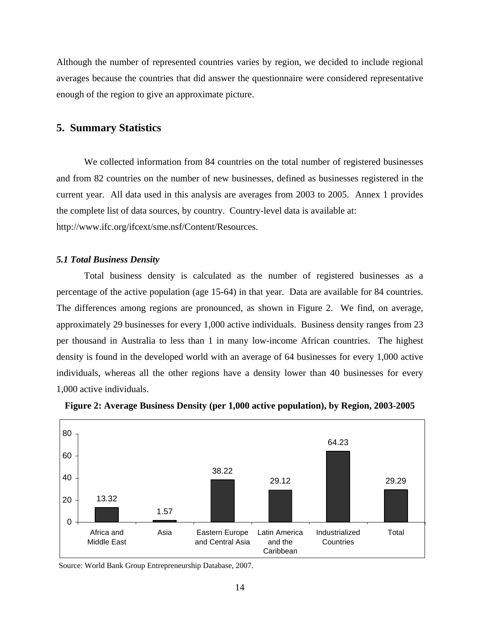Although the number of represented countries varies by region, we decided to include regional averages because the countries that did answer the questionnaire were considered representative enough of the region to give an approximate picture.

# **5. Summary Statistics**

We collected information from 84 countries on the total number of registered businesses and from 82 countries on the number of new businesses, defined as businesses registered in the current year. All data used in this analysis are averages from 2003 to 2005. Annex 1 provides the complete list of data sources, by country. Country-level data is available at: http://www.ifc.org/ifcext/sme.nsf/Content/Resources.

#### *5.1 Total Business Density*

Total business density is calculated as the number of registered businesses as a percentage of the active population (age 15-64) in that year. Data are available for 84 countries. The differences among regions are pronounced, as shown in Figure 2. We find, on average, approximately 29 businesses for every 1,000 active individuals. Business density ranges from 23 per thousand in Australia to less than 1 in many low-income African countries. The highest density is found in the developed world with an average of 64 businesses for every 1,000 active individuals, whereas all the other regions have a density lower than 40 businesses for every 1,000 active individuals.





Source: World Bank Group Entrepreneurship Database, 2007.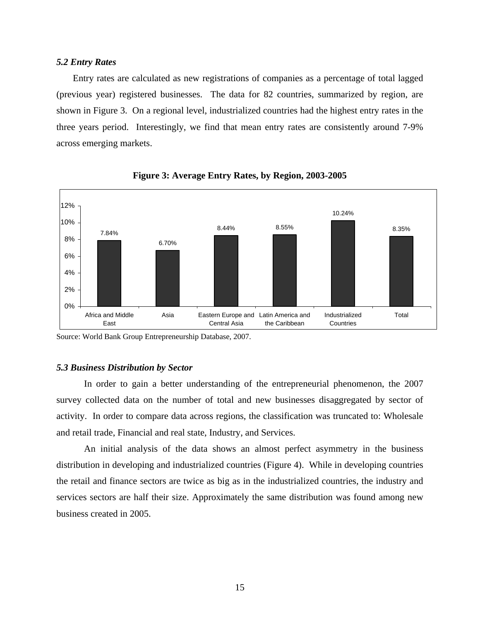## *5.2 Entry Rates*

Entry rates are calculated as new registrations of companies as a percentage of total lagged (previous year) registered businesses. The data for 82 countries, summarized by region, are shown in Figure 3. On a regional level, industrialized countries had the highest entry rates in the three years period. Interestingly, we find that mean entry rates are consistently around 7-9% across emerging markets.





## *5.3 Business Distribution by Sector*

In order to gain a better understanding of the entrepreneurial phenomenon, the 2007 survey collected data on the number of total and new businesses disaggregated by sector of activity. In order to compare data across regions, the classification was truncated to: Wholesale and retail trade, Financial and real state, Industry, and Services.

An initial analysis of the data shows an almost perfect asymmetry in the business distribution in developing and industrialized countries (Figure 4).While in developing countries the retail and finance sectors are twice as big as in the industrialized countries, the industry and services sectors are half their size. Approximately the same distribution was found among new business created in 2005.

Source: World Bank Group Entrepreneurship Database, 2007.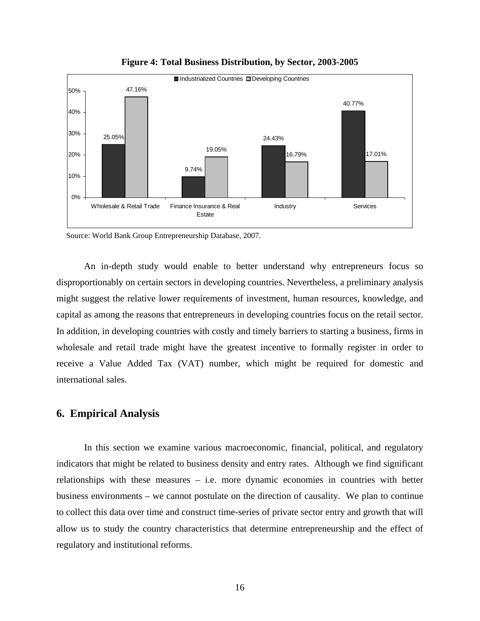

**Figure 4: Total Business Distribution, by Sector, 2003-2005** 

Source: World Bank Group Entrepreneurship Database, 2007.

An in-depth study would enable to better understand why entrepreneurs focus so disproportionably on certain sectors in developing countries. Nevertheless, a preliminary analysis might suggest the relative lower requirements of investment, human resources, knowledge, and capital as among the reasons that entrepreneurs in developing countries focus on the retail sector. In addition, in developing countries with costly and timely barriers to starting a business, firms in wholesale and retail trade might have the greatest incentive to formally register in order to receive a Value Added Tax (VAT) number, which might be required for domestic and international sales.

## **6. Empirical Analysis**

In this section we examine various macroeconomic, financial, political, and regulatory indicators that might be related to business density and entry rates. Although we find significant relationships with these measures – i.e. more dynamic economies in countries with better business environments – we cannot postulate on the direction of causality. We plan to continue to collect this data over time and construct time-series of private sector entry and growth that will allow us to study the country characteristics that determine entrepreneurship and the effect of regulatory and institutional reforms.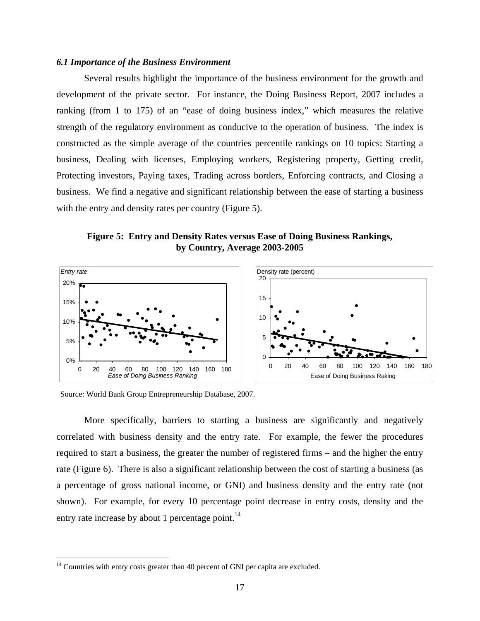#### *6.1 Importance of the Business Environment*

 Several results highlight the importance of the business environment for the growth and development of the private sector. For instance, the Doing Business Report, 2007 includes a ranking (from 1 to 175) of an "ease of doing business index," which measures the relative strength of the regulatory environment as conducive to the operation of business. The index is constructed as the simple average of the countries percentile rankings on 10 topics: Starting a business, Dealing with licenses, Employing workers, Registering property, Getting credit, Protecting investors, Paying taxes, Trading across borders, Enforcing contracts, and Closing a business. We find a negative and significant relationship between the ease of starting a business with the entry and density rates per country (Figure 5).

**Figure 5: Entry and Density Rates versus Ease of Doing Business Rankings, by Country, Average 2003-2005** 



Source: World Bank Group Entrepreneurship Database, 2007.

 More specifically, barriers to starting a business are significantly and negatively correlated with business density and the entry rate. For example, the fewer the procedures required to start a business, the greater the number of registered firms – and the higher the entry rate (Figure 6). There is also a significant relationship between the cost of starting a business (as a percentage of gross national income, or GNI) and business density and the entry rate (not shown). For example, for every 10 percentage point decrease in entry costs, density and the entry rate increase by about 1 percentage point. $^{14}$ 

 $\overline{a}$ 

 $14$  Countries with entry costs greater than 40 percent of GNI per capita are excluded.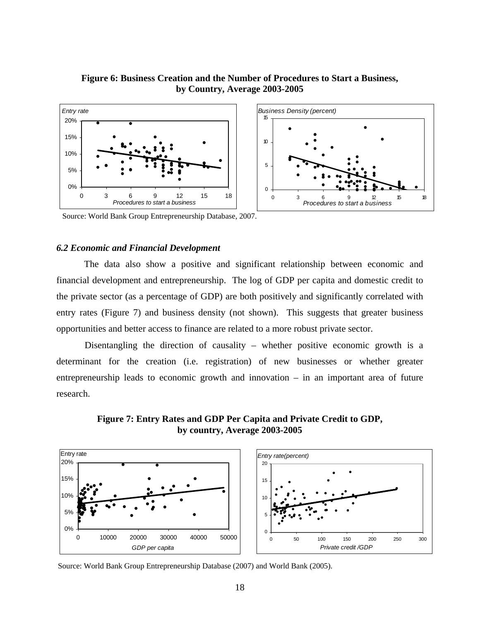# **Figure 6: Business Creation and the Number of Procedures to Start a Business, by Country, Average 2003-2005**



Source: World Bank Group Entrepreneurship Database, 2007.

#### *6.2 Economic and Financial Development*

 The data also show a positive and significant relationship between economic and financial development and entrepreneurship. The log of GDP per capita and domestic credit to the private sector (as a percentage of GDP) are both positively and significantly correlated with entry rates (Figure 7) and business density (not shown). This suggests that greater business opportunities and better access to finance are related to a more robust private sector.

Disentangling the direction of causality – whether positive economic growth is a determinant for the creation (i.e. registration) of new businesses or whether greater entrepreneurship leads to economic growth and innovation – in an important area of future research.

**Figure 7: Entry Rates and GDP Per Capita and Private Credit to GDP, by country, Average 2003-2005** 



Source: World Bank Group Entrepreneurship Database (2007) and World Bank (2005).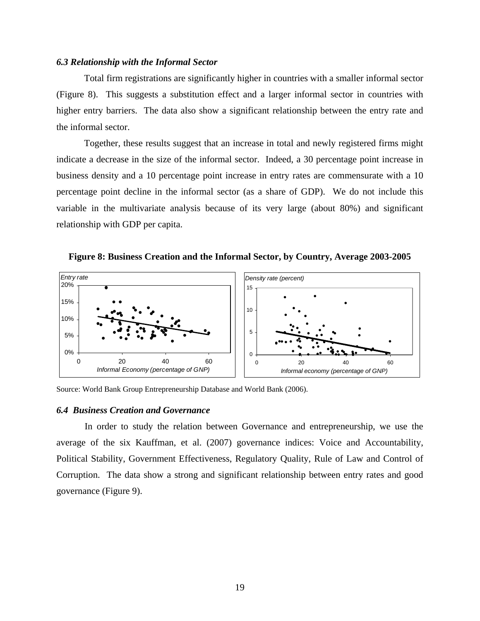#### *6.3 Relationship with the Informal Sector*

 Total firm registrations are significantly higher in countries with a smaller informal sector (Figure 8). This suggests a substitution effect and a larger informal sector in countries with higher entry barriers. The data also show a significant relationship between the entry rate and the informal sector.

 Together, these results suggest that an increase in total and newly registered firms might indicate a decrease in the size of the informal sector. Indeed, a 30 percentage point increase in business density and a 10 percentage point increase in entry rates are commensurate with a 10 percentage point decline in the informal sector (as a share of GDP). We do not include this variable in the multivariate analysis because of its very large (about 80%) and significant relationship with GDP per capita.

**Figure 8: Business Creation and the Informal Sector, by Country, Average 2003-2005** 



Source: World Bank Group Entrepreneurship Database and World Bank (2006).

#### *6.4 Business Creation and Governance*

In order to study the relation between Governance and entrepreneurship, we use the average of the six Kauffman, et al. (2007) governance indices: Voice and Accountability, Political Stability, Government Effectiveness, Regulatory Quality, Rule of Law and Control of Corruption. The data show a strong and significant relationship between entry rates and good governance (Figure 9).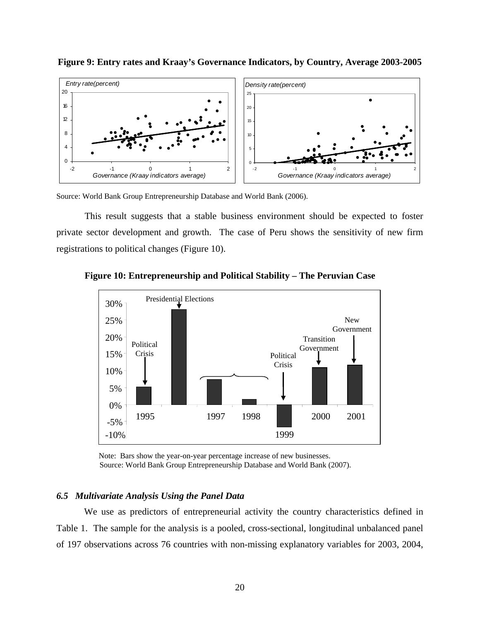

**Figure 9: Entry rates and Kraay's Governance Indicators, by Country, Average 2003-2005** 

Source: World Bank Group Entrepreneurship Database and World Bank (2006).

This result suggests that a stable business environment should be expected to foster private sector development and growth. The case of Peru shows the sensitivity of new firm registrations to political changes (Figure 10).



**Figure 10: Entrepreneurship and Political Stability – The Peruvian Case**

Note: Bars show the year-on-year percentage increase of new businesses. Source: World Bank Group Entrepreneurship Database and World Bank (2007).

## *6.5 Multivariate Analysis Using the Panel Data*

 We use as predictors of entrepreneurial activity the country characteristics defined in Table 1. The sample for the analysis is a pooled, cross-sectional, longitudinal unbalanced panel of 197 observations across 76 countries with non-missing explanatory variables for 2003, 2004,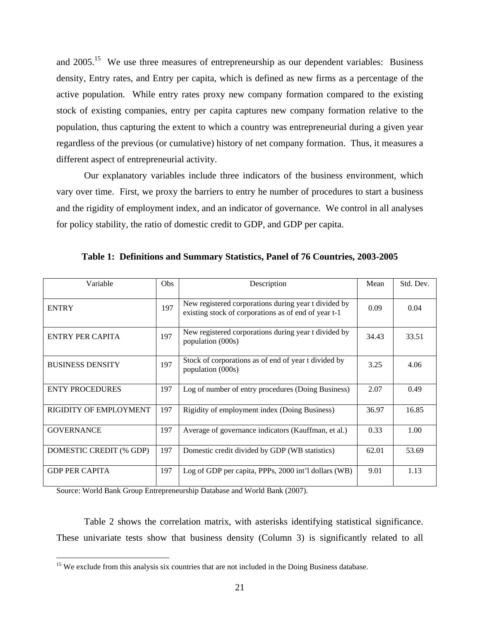and 2005.15 We use three measures of entrepreneurship as our dependent variables: Business density, Entry rates, and Entry per capita, which is defined as new firms as a percentage of the active population. While entry rates proxy new company formation compared to the existing stock of existing companies, entry per capita captures new company formation relative to the population, thus capturing the extent to which a country was entrepreneurial during a given year regardless of the previous (or cumulative) history of net company formation. Thus, it measures a different aspect of entrepreneurial activity.

Our explanatory variables include three indicators of the business environment, which vary over time. First, we proxy the barriers to entry he number of procedures to start a business and the rigidity of employment index, and an indicator of governance. We control in all analyses for policy stability, the ratio of domestic credit to GDP, and GDP per capita.

| Variable                | <b>Obs</b> | Description                                                                                                  | Mean  | Std. Dev. |
|-------------------------|------------|--------------------------------------------------------------------------------------------------------------|-------|-----------|
| <b>ENTRY</b>            | 197        | New registered corporations during year t divided by<br>existing stock of corporations as of end of year t-1 | 0.09  | 0.04      |
| <b>ENTRY PER CAPITA</b> | 197        | New registered corporations during year t divided by<br>population (000s)                                    | 34.43 | 33.51     |
| <b>BUSINESS DENSITY</b> | 197        | Stock of corporations as of end of year t divided by<br>population (000s)                                    | 3.25  | 4.06      |
| <b>ENTY PROCEDURES</b>  | 197        | Log of number of entry procedures (Doing Business)                                                           | 2.07  | 0.49      |
| RIGIDITY OF EMPLOYMENT  | 197        | Rigidity of employment index (Doing Business)                                                                | 36.97 | 16.85     |
| <b>GOVERNANCE</b>       | 197        | Average of governance indicators (Kauffman, et al.)                                                          | 0.33  | 1.00      |
| DOMESTIC CREDIT (% GDP) | 197        | Domestic credit divided by GDP (WB statistics)                                                               | 62.01 | 53.69     |
| <b>GDP PER CAPITA</b>   | 197        | Log of GDP per capita, PPPs, 2000 int'l dollars (WB)                                                         | 9.01  | 1.13      |

**Table 1: Definitions and Summary Statistics, Panel of 76 Countries, 2003-2005** 

Source: World Bank Group Entrepreneurship Database and World Bank (2007).

1

 Table 2 shows the correlation matrix, with asterisks identifying statistical significance. These univariate tests show that business density (Column 3) is significantly related to all

<sup>&</sup>lt;sup>15</sup> We exclude from this analysis six countries that are not included in the Doing Business database.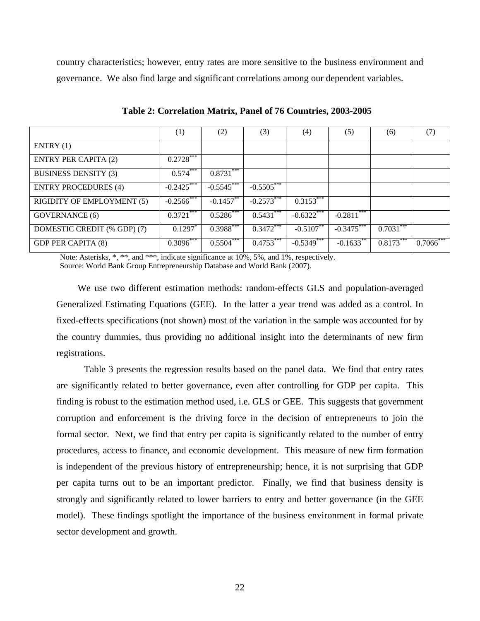country characteristics; however, entry rates are more sensitive to the business environment and governance. We also find large and significant correlations among our dependent variables.

|                                   | (1)           | (2)          | (3)          | (4)                       | (5)                        | (6)         | (7)          |
|-----------------------------------|---------------|--------------|--------------|---------------------------|----------------------------|-------------|--------------|
| ENTRY(1)                          |               |              |              |                           |                            |             |              |
| <b>ENTRY PER CAPITA (2)</b>       | $0.2728***$   |              |              |                           |                            |             |              |
| <b>BUSINESS DENSITY (3)</b>       | $0.574***$    | $0.8731***$  |              |                           |                            |             |              |
| <b>ENTRY PROCEDURES (4)</b>       | $-0.2425$     | $-0.5545***$ | $-0.5505***$ |                           |                            |             |              |
| <b>RIGIDITY OF EMPLOYMENT (5)</b> | $-0.2566$ *** | $-0.1457***$ | $-0.2573$    | $0.3153***$               |                            |             |              |
| <b>GOVERNANCE</b> (6)             | $0.3721***$   | $0.5286***$  | $0.5431***$  | $-0.6322***$              | $-0.2811***$               |             |              |
| DOMESTIC CREDIT (% GDP) (7)       | 0.1297        | $0.3988***$  | $0.3472***$  | $-0.51\overline{07}^{**}$ | $-0.34\overline{75}^{***}$ | $0.7031***$ |              |
| <b>GDP PER CAPITA (8)</b>         | $0.3096***$   | $0.5504$ *** | $0.4753***$  | $-0.5349***$              | $-0.1633***$               | 0.8173      | $0.7066$ *** |

**Table 2: Correlation Matrix, Panel of 76 Countries, 2003-2005** 

Note: Asterisks, \*, \*\*, and \*\*\*, indicate significance at 10%, 5%, and 1%, respectively. Source: World Bank Group Entrepreneurship Database and World Bank (2007).

We use two different estimation methods: random-effects GLS and population-averaged Generalized Estimating Equations (GEE). In the latter a year trend was added as a control. In fixed-effects specifications (not shown) most of the variation in the sample was accounted for by the country dummies, thus providing no additional insight into the determinants of new firm registrations.

 Table 3 presents the regression results based on the panel data. We find that entry rates are significantly related to better governance, even after controlling for GDP per capita. This finding is robust to the estimation method used, i.e. GLS or GEE. This suggests that government corruption and enforcement is the driving force in the decision of entrepreneurs to join the formal sector. Next, we find that entry per capita is significantly related to the number of entry procedures, access to finance, and economic development. This measure of new firm formation is independent of the previous history of entrepreneurship; hence, it is not surprising that GDP per capita turns out to be an important predictor. Finally, we find that business density is strongly and significantly related to lower barriers to entry and better governance (in the GEE model). These findings spotlight the importance of the business environment in formal private sector development and growth.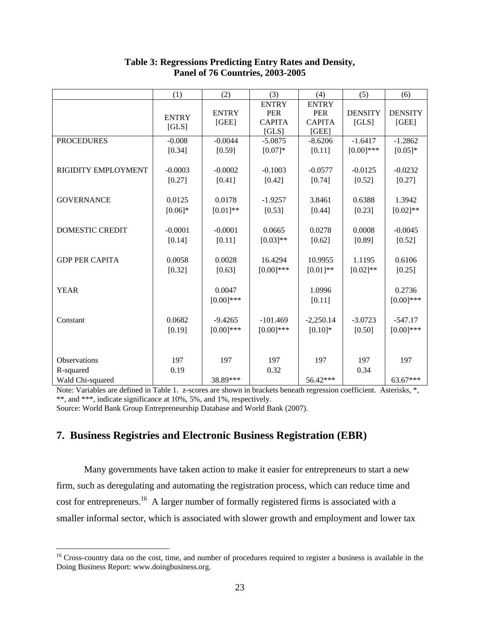|                        | (1)          | (2)          | (3)           | (4)           | (5)            | (6)            |
|------------------------|--------------|--------------|---------------|---------------|----------------|----------------|
|                        |              |              | <b>ENTRY</b>  | <b>ENTRY</b>  |                |                |
|                        | <b>ENTRY</b> | <b>ENTRY</b> | <b>PER</b>    | <b>PER</b>    | <b>DENSITY</b> | <b>DENSITY</b> |
|                        | [GLS]        | [GEE]        | <b>CAPITA</b> | <b>CAPITA</b> | [GLS]          | [GEE]          |
|                        |              |              | [GLS]         | [GEE]         |                |                |
| <b>PROCEDURES</b>      | $-0.008$     | $-0.0044$    | $-5.0875$     | $-8.6206$     | $-1.6417$      | $-1.2862$      |
|                        | [0.34]       | [0.59]       | $[0.07]*$     | [0.11]        | $[0.00]$ ***   | $[0.05]*$      |
|                        |              |              |               |               |                |                |
| RIGIDITY EMPLOYMENT    | $-0.0003$    | $-0.0002$    | $-0.1003$     | $-0.0577$     | $-0.0125$      | $-0.0232$      |
|                        | [0.27]       | [0.41]       | [0.42]        | [0.74]        | [0.52]         | [0.27]         |
|                        |              |              |               |               |                |                |
| <b>GOVERNANCE</b>      | 0.0125       | 0.0178       | $-1.9257$     | 3.8461        | 0.6388         | 1.3942         |
|                        | $[0.06]*$    | $[0.01]**$   | [0.53]        | [0.44]        | [0.23]         | $[0.02]**$     |
|                        |              |              |               |               |                |                |
| <b>DOMESTIC CREDIT</b> | $-0.0001$    | $-0.0001$    | 0.0665        | 0.0278        | 0.0008         | $-0.0045$      |
|                        | [0.14]       | [0.11]       | $[0.03]**$    | [0.62]        | [0.89]         | [0.52]         |
|                        |              |              |               |               |                |                |
| <b>GDP PER CAPITA</b>  | 0.0058       | 0.0028       | 16.4294       | 10.9955       | 1.1195         | 0.6106         |
|                        |              |              |               |               |                |                |
|                        | [0.32]       | [0.63]       | $[0.00]$ ***  | $[0.01]**$    | $[0.02]$ **    | [0.25]         |
|                        |              |              |               |               |                |                |
| <b>YEAR</b>            |              | 0.0047       |               | 1.0996        |                | 0.2736         |
|                        |              | $[0.00]$ *** |               | [0.11]        |                | $[0.00]$ ***   |
|                        |              |              |               |               |                |                |
| Constant               | 0.0682       | $-9.4265$    | $-101.469$    | $-2,250.14$   | $-3.0723$      | $-547.17$      |
|                        | [0.19]       | $[0.00]$ *** | $[0.00]$ ***  | $[0.10]*$     | [0.50]         | $[0.00]$ ***   |
|                        |              |              |               |               |                |                |
|                        |              |              |               |               |                |                |
| Observations           | 197          | 197          | 197           | 197           | 197            | 197            |
| R-squared              | 0.19         |              | 0.32          |               | 0.34           |                |
| Wald Chi-squared       |              | 38.89***     |               | 56.42***      |                | 63.67***       |

# **Table 3: Regressions Predicting Entry Rates and Density, Panel of 76 Countries, 2003-2005**

Note: Variables are defined in Table 1. z-scores are shown in brackets beneath regression coefficient. Asterisks, \*, \*\*, and \*\*\*, indicate significance at 10%, 5%, and 1%, respectively.

Source: World Bank Group Entrepreneurship Database and World Bank (2007).

 $\overline{a}$ 

# **7. Business Registries and Electronic Business Registration (EBR)**

 Many governments have taken action to make it easier for entrepreneurs to start a new firm, such as deregulating and automating the registration process, which can reduce time and cost for entrepreneurs.<sup>16</sup> A larger number of formally registered firms is associated with a smaller informal sector, which is associated with slower growth and employment and lower tax

<sup>&</sup>lt;sup>16</sup> Cross-country data on the cost, time, and number of procedures required to register a business is available in the Doing Business Report: www.doingbusiness.org.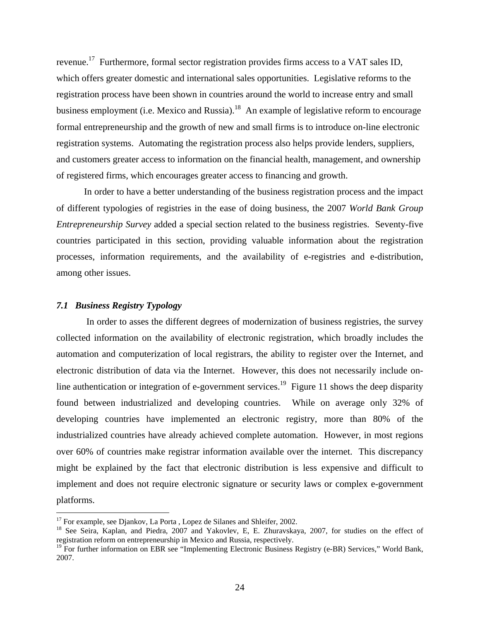revenue.<sup>17</sup> Furthermore, formal sector registration provides firms access to a VAT sales ID, which offers greater domestic and international sales opportunities. Legislative reforms to the registration process have been shown in countries around the world to increase entry and small business employment (i.e. Mexico and Russia).<sup>18</sup> An example of legislative reform to encourage formal entrepreneurship and the growth of new and small firms is to introduce on-line electronic registration systems. Automating the registration process also helps provide lenders, suppliers, and customers greater access to information on the financial health, management, and ownership of registered firms, which encourages greater access to financing and growth.

In order to have a better understanding of the business registration process and the impact of different typologies of registries in the ease of doing business, the 2007 *World Bank Group Entrepreneurship Survey* added a special section related to the business registries. Seventy-five countries participated in this section, providing valuable information about the registration processes, information requirements, and the availability of e-registries and e-distribution, among other issues.

## *7.1 Business Registry Typology*

 $\overline{a}$ 

In order to asses the different degrees of modernization of business registries, the survey collected information on the availability of electronic registration, which broadly includes the automation and computerization of local registrars, the ability to register over the Internet, and electronic distribution of data via the Internet. However, this does not necessarily include online authentication or integration of e-government services.<sup>19</sup> Figure 11 shows the deep disparity found between industrialized and developing countries. While on average only 32% of developing countries have implemented an electronic registry, more than 80% of the industrialized countries have already achieved complete automation. However, in most regions over 60% of countries make registrar information available over the internet. This discrepancy might be explained by the fact that electronic distribution is less expensive and difficult to implement and does not require electronic signature or security laws or complex e-government platforms.

<sup>&</sup>lt;sup>17</sup> For example, see Djankov, La Porta, Lopez de Silanes and Shleifer, 2002.

<sup>&</sup>lt;sup>18</sup> See Seira, Kaplan, and Piedra, 2007 and Yakovlev, E, E. Zhuravskaya, 2007, for studies on the effect of registration reform on entrepreneurship in Mexico and Russia, respectively.

<sup>&</sup>lt;sup>19</sup> For further information on EBR see "Implementing Electronic Business Registry (e-BR) Services," World Bank, 2007.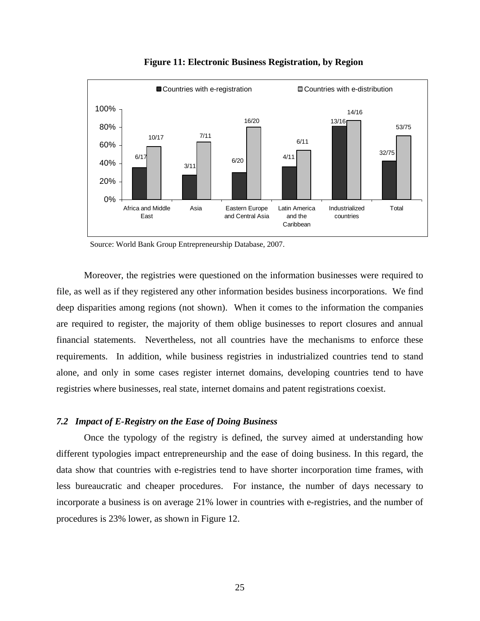

**Figure 11: Electronic Business Registration, by Region** 

Moreover, the registries were questioned on the information businesses were required to file, as well as if they registered any other information besides business incorporations. We find deep disparities among regions (not shown). When it comes to the information the companies are required to register, the majority of them oblige businesses to report closures and annual financial statements. Nevertheless, not all countries have the mechanisms to enforce these requirements. In addition, while business registries in industrialized countries tend to stand alone, and only in some cases register internet domains, developing countries tend to have registries where businesses, real state, internet domains and patent registrations coexist.

#### *7.2 Impact of E-Registry on the Ease of Doing Business*

Once the typology of the registry is defined, the survey aimed at understanding how different typologies impact entrepreneurship and the ease of doing business. In this regard, the data show that countries with e-registries tend to have shorter incorporation time frames, with less bureaucratic and cheaper procedures. For instance, the number of days necessary to incorporate a business is on average 21% lower in countries with e-registries, and the number of procedures is 23% lower, as shown in Figure 12.

Source: World Bank Group Entrepreneurship Database, 2007.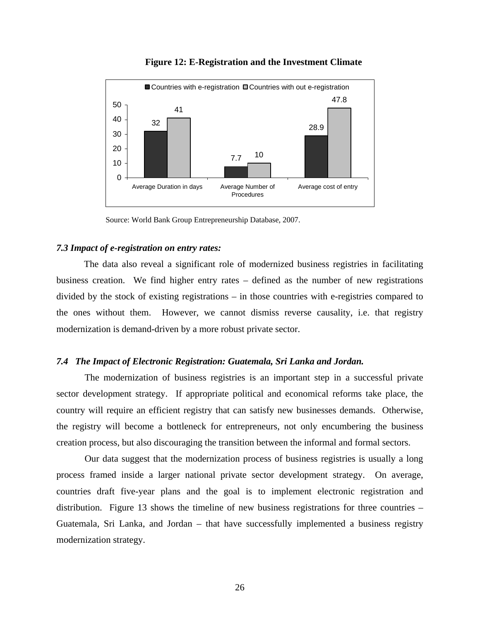

**Figure 12: E-Registration and the Investment Climate** 

Source: World Bank Group Entrepreneurship Database, 2007.

#### *7.3 Impact of e-registration on entry rates:*

The data also reveal a significant role of modernized business registries in facilitating business creation. We find higher entry rates – defined as the number of new registrations divided by the stock of existing registrations – in those countries with e-registries compared to the ones without them. However, we cannot dismiss reverse causality, i.e. that registry modernization is demand-driven by a more robust private sector.

#### *7.4 The Impact of Electronic Registration: Guatemala, Sri Lanka and Jordan.*

The modernization of business registries is an important step in a successful private sector development strategy. If appropriate political and economical reforms take place, the country will require an efficient registry that can satisfy new businesses demands. Otherwise, the registry will become a bottleneck for entrepreneurs, not only encumbering the business creation process, but also discouraging the transition between the informal and formal sectors.

Our data suggest that the modernization process of business registries is usually a long process framed inside a larger national private sector development strategy. On average, countries draft five-year plans and the goal is to implement electronic registration and distribution. Figure 13 shows the timeline of new business registrations for three countries – Guatemala, Sri Lanka, and Jordan – that have successfully implemented a business registry modernization strategy.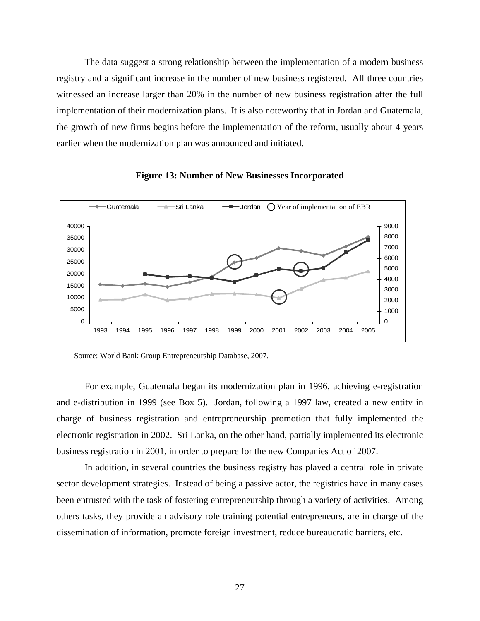The data suggest a strong relationship between the implementation of a modern business registry and a significant increase in the number of new business registered. All three countries witnessed an increase larger than 20% in the number of new business registration after the full implementation of their modernization plans. It is also noteworthy that in Jordan and Guatemala, the growth of new firms begins before the implementation of the reform, usually about 4 years earlier when the modernization plan was announced and initiated.





Source: World Bank Group Entrepreneurship Database, 2007.

For example, Guatemala began its modernization plan in 1996, achieving e-registration and e-distribution in 1999 (see Box 5). Jordan, following a 1997 law, created a new entity in charge of business registration and entrepreneurship promotion that fully implemented the electronic registration in 2002. Sri Lanka, on the other hand, partially implemented its electronic business registration in 2001, in order to prepare for the new Companies Act of 2007.

In addition, in several countries the business registry has played a central role in private sector development strategies. Instead of being a passive actor, the registries have in many cases been entrusted with the task of fostering entrepreneurship through a variety of activities. Among others tasks, they provide an advisory role training potential entrepreneurs, are in charge of the dissemination of information, promote foreign investment, reduce bureaucratic barriers, etc.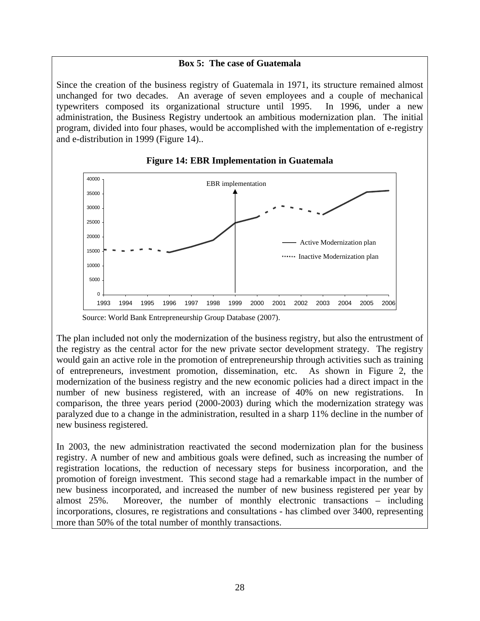# **Box 5: The case of Guatemala**

Since the creation of the business registry of Guatemala in 1971, its structure remained almost unchanged for two decades. An average of seven employees and a couple of mechanical typewriters composed its organizational structure until 1995. In 1996, under a new administration, the Business Registry undertook an ambitious modernization plan. The initial program, divided into four phases, would be accomplished with the implementation of e-registry and e-distribution in 1999 (Figure 14)..



## **Figure 14: EBR Implementation in Guatemala**

Source: World Bank Entrepreneurship Group Database (2007).

The plan included not only the modernization of the business registry, but also the entrustment of the registry as the central actor for the new private sector development strategy. The registry would gain an active role in the promotion of entrepreneurship through activities such as training of entrepreneurs, investment promotion, dissemination, etc. As shown in Figure 2, the modernization of the business registry and the new economic policies had a direct impact in the number of new business registered, with an increase of 40% on new registrations. In comparison, the three years period (2000-2003) during which the modernization strategy was paralyzed due to a change in the administration, resulted in a sharp 11% decline in the number of new business registered.

In 2003, the new administration reactivated the second modernization plan for the business registry. A number of new and ambitious goals were defined, such as increasing the number of registration locations, the reduction of necessary steps for business incorporation, and the promotion of foreign investment. This second stage had a remarkable impact in the number of new business incorporated, and increased the number of new business registered per year by almost 25%. Moreover, the number of monthly electronic transactions – including incorporations, closures, re registrations and consultations - has climbed over 3400, representing more than 50% of the total number of monthly transactions.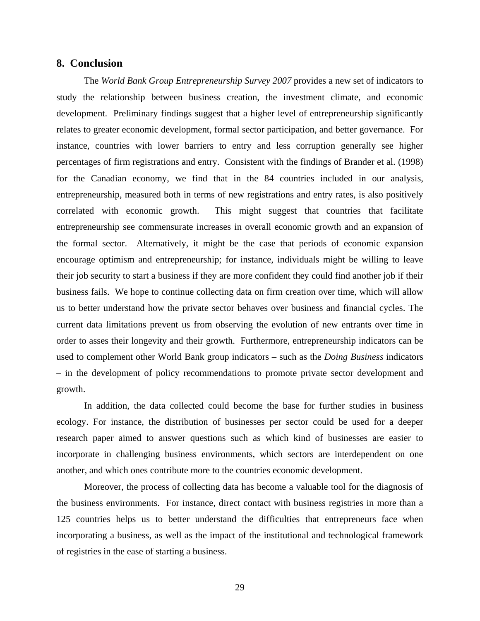## **8. Conclusion**

The *World Bank Group Entrepreneurship Survey 2007* provides a new set of indicators to study the relationship between business creation, the investment climate, and economic development. Preliminary findings suggest that a higher level of entrepreneurship significantly relates to greater economic development, formal sector participation, and better governance. For instance, countries with lower barriers to entry and less corruption generally see higher percentages of firm registrations and entry. Consistent with the findings of Brander et al. (1998) for the Canadian economy, we find that in the 84 countries included in our analysis, entrepreneurship, measured both in terms of new registrations and entry rates, is also positively correlated with economic growth. This might suggest that countries that facilitate entrepreneurship see commensurate increases in overall economic growth and an expansion of the formal sector. Alternatively, it might be the case that periods of economic expansion encourage optimism and entrepreneurship; for instance, individuals might be willing to leave their job security to start a business if they are more confident they could find another job if their business fails. We hope to continue collecting data on firm creation over time, which will allow us to better understand how the private sector behaves over business and financial cycles. The current data limitations prevent us from observing the evolution of new entrants over time in order to asses their longevity and their growth. Furthermore, entrepreneurship indicators can be used to complement other World Bank group indicators – such as the *Doing Business* indicators – in the development of policy recommendations to promote private sector development and growth.

In addition, the data collected could become the base for further studies in business ecology. For instance, the distribution of businesses per sector could be used for a deeper research paper aimed to answer questions such as which kind of businesses are easier to incorporate in challenging business environments, which sectors are interdependent on one another, and which ones contribute more to the countries economic development.

Moreover, the process of collecting data has become a valuable tool for the diagnosis of the business environments. For instance, direct contact with business registries in more than a 125 countries helps us to better understand the difficulties that entrepreneurs face when incorporating a business, as well as the impact of the institutional and technological framework of registries in the ease of starting a business.

29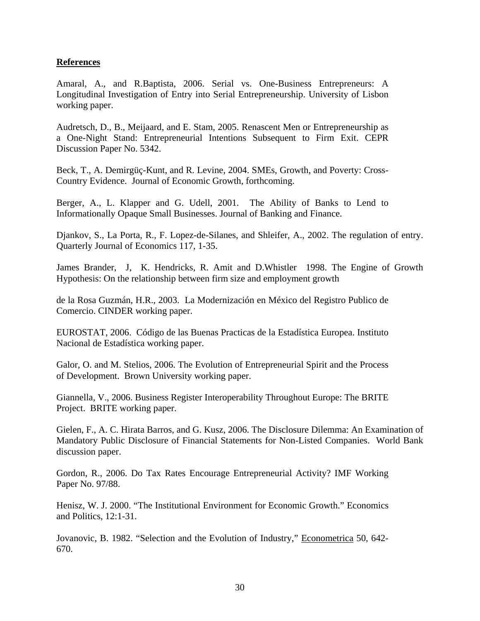# **References**

Amaral, A., and R.Baptista, 2006. Serial vs. One-Business Entrepreneurs: A Longitudinal Investigation of Entry into Serial Entrepreneurship. University of Lisbon working paper.

Audretsch, D., B., Meijaard, and E. Stam, 2005. Renascent Men or Entrepreneurship as a One-Night Stand: Entrepreneurial Intentions Subsequent to Firm Exit. CEPR Discussion Paper No. 5342.

Beck, T., A. Demirgüç-Kunt, and R. Levine, 2004. SMEs, Growth, and Poverty: Cross-Country Evidence. Journal of Economic Growth, forthcoming.

Berger, A., L. Klapper and G. Udell, 2001. The Ability of Banks to Lend to Informationally Opaque Small Businesses. Journal of Banking and Finance.

Djankov, S., La Porta, R., F. Lopez-de-Silanes, and Shleifer, A., 2002. The regulation of entry. Quarterly Journal of Economics 117, 1-35.

James Brander, J, K. Hendricks, R. Amit and D.Whistler 1998. The Engine of Growth Hypothesis: On the relationship between firm size and employment growth

de la Rosa Guzmán, H.R., 2003. La Modernización en México del Registro Publico de Comercio. CINDER working paper.

EUROSTAT, 2006. Código de las Buenas Practicas de la Estadística Europea. Instituto Nacional de Estadística working paper.

Galor, O. and M. Stelios, 2006. The Evolution of Entrepreneurial Spirit and the Process of Development. Brown University working paper.

Giannella, V., 2006. Business Register Interoperability Throughout Europe: The BRITE Project. BRITE working paper.

Gielen, F., A. C. Hirata Barros, and G. Kusz, 2006. The Disclosure Dilemma: An Examination of Mandatory Public Disclosure of Financial Statements for Non-Listed Companies. World Bank discussion paper.

Gordon, R., 2006. Do Tax Rates Encourage Entrepreneurial Activity? IMF Working Paper No. 97/88.

Henisz, W. J. 2000. "The Institutional Environment for Economic Growth." Economics and Politics, 12:1-31.

Jovanovic, B. 1982. "Selection and the Evolution of Industry," Econometrica 50, 642- 670.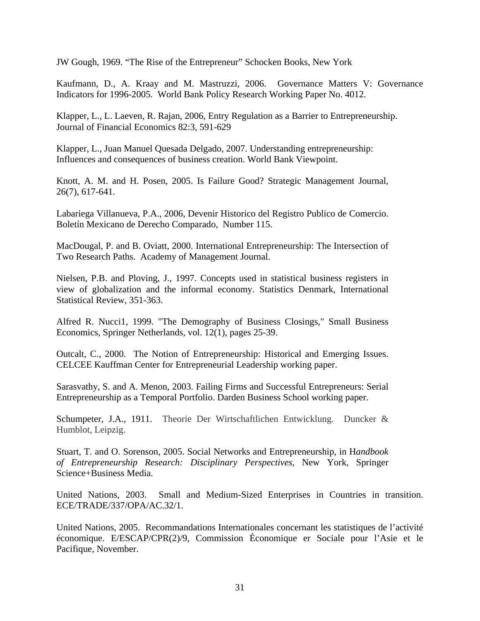JW Gough, 1969. "The Rise of the Entrepreneur" Schocken Books, New York

Kaufmann, D., A. Kraay and M. Mastruzzi, 2006. Governance Matters V: Governance Indicators for 1996-2005. World Bank Policy Research Working Paper No. 4012.

Klapper, L., L. Laeven, R. Rajan, 2006, Entry Regulation as a Barrier to Entrepreneurship. Journal of Financial Economics 82:3, 591-629

Klapper, L., Juan Manuel Quesada Delgado, 2007. Understanding entrepreneurship: Influences and consequences of business creation. World Bank Viewpoint.

Knott, A. M. and H. Posen, 2005. Is Failure Good? Strategic Management Journal, 26(7), 617-641.

Labariega Villanueva, P.A., 2006, Devenir Historico del Registro Publico de Comercio. Boletín Mexicano de Derecho Comparado, Number 115.

MacDougal, P. and B. Oviatt, 2000. International Entrepreneurship: The Intersection of Two Research Paths. Academy of Management Journal.

Nielsen, P.B. and Ploving, J., 1997. Concepts used in statistical business registers in view of globalization and the informal economy. Statistics Denmark, International Statistical Review, 351-363.

Alfred R. Nucci1, 1999. "The Demography of Business Closings," Small Business Economics, Springer Netherlands, vol. 12(1), pages 25-39.

Outcalt, C., 2000. The Notion of Entrepreneurship: Historical and Emerging Issues. CELCEE Kauffman Center for Entrepreneurial Leadership working paper.

Sarasvathy, S. and A. Menon, 2003. Failing Firms and Successful Entrepreneurs: Serial Entrepreneurship as a Temporal Portfolio. Darden Business School working paper.

Schumpeter, J.A., 1911. Theorie Der Wirtschaftlichen Entwicklung. Duncker & Humblot, Leipzig.

Stuart, T. and O. Sorenson, 2005. Social Networks and Entrepreneurship, in H*andbook of Entrepreneurship Research: Disciplinary Perspectives*, New York, Springer Science+Business Media.

United Nations, 2003. Small and Medium-Sized Enterprises in Countries in transition. ECE/TRADE/337/OPA/AC.32/1.

United Nations, 2005. Recommandations Internationales concernant les statistiques de l'activité économique. E/ESCAP/CPR(2)/9, Commission Économique er Sociale pour l'Asie et le Pacifique, November.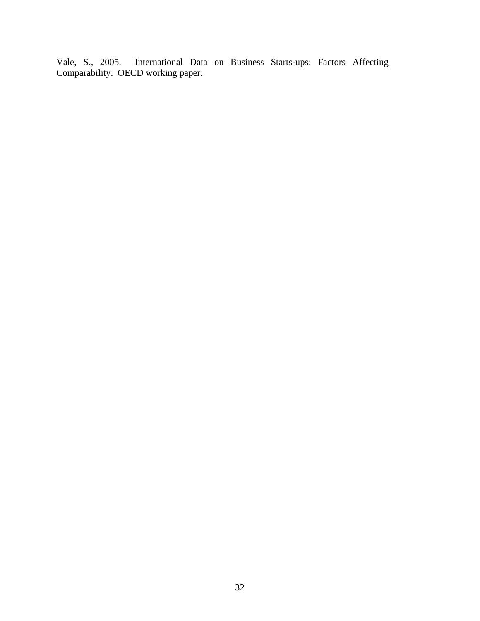Vale, S., 2005. International Data on Business Starts-ups: Factors Affecting Comparability. OECD working paper.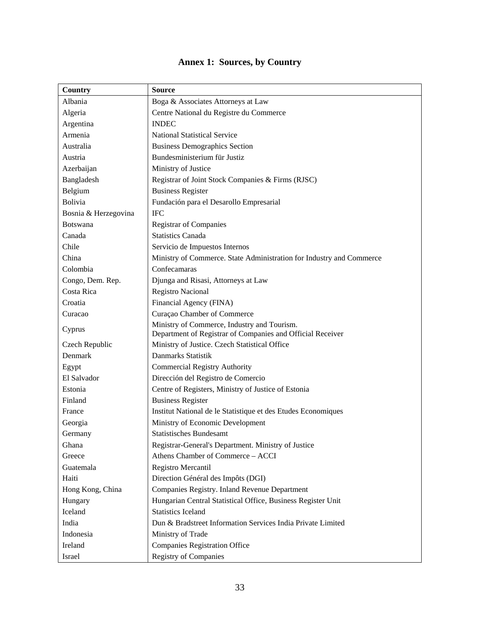| Country              | <b>Source</b>                                                                                             |
|----------------------|-----------------------------------------------------------------------------------------------------------|
| Albania              | Boga & Associates Attorneys at Law                                                                        |
| Algeria              | Centre National du Registre du Commerce                                                                   |
| Argentina            | <b>INDEC</b>                                                                                              |
| Armenia              | <b>National Statistical Service</b>                                                                       |
| Australia            | <b>Business Demographics Section</b>                                                                      |
| Austria              | Bundesministerium für Justiz                                                                              |
| Azerbaijan           | Ministry of Justice                                                                                       |
| Bangladesh           | Registrar of Joint Stock Companies & Firms (RJSC)                                                         |
| Belgium              | <b>Business Register</b>                                                                                  |
| <b>Bolivia</b>       | Fundación para el Desarollo Empresarial                                                                   |
| Bosnia & Herzegovina | <b>IFC</b>                                                                                                |
| <b>Botswana</b>      | <b>Registrar of Companies</b>                                                                             |
| Canada               | <b>Statistics Canada</b>                                                                                  |
| Chile                | Servicio de Impuestos Internos                                                                            |
| China                | Ministry of Commerce. State Administration for Industry and Commerce                                      |
| Colombia             | Confecamaras                                                                                              |
| Congo, Dem. Rep.     | Djunga and Risasi, Attorneys at Law                                                                       |
| Costa Rica           | <b>Registro Nacional</b>                                                                                  |
| Croatia              | Financial Agency (FINA)                                                                                   |
| Curacao              | Curaçao Chamber of Commerce                                                                               |
| Cyprus               | Ministry of Commerce, Industry and Tourism.<br>Department of Registrar of Companies and Official Receiver |
| Czech Republic       | Ministry of Justice. Czech Statistical Office                                                             |
| Denmark              | Danmarks Statistik                                                                                        |
| Egypt                | <b>Commercial Registry Authority</b>                                                                      |
| El Salvador          | Dirección del Registro de Comercio                                                                        |
| Estonia              | Centre of Registers, Ministry of Justice of Estonia                                                       |
| Finland              | <b>Business Register</b>                                                                                  |
| France               | Institut National de le Statistique et des Etudes Economiques                                             |
| Georgia              | Ministry of Economic Development                                                                          |
| Germany              | <b>Statistisches Bundesamt</b>                                                                            |
| Ghana                | Registrar-General's Department. Ministry of Justice                                                       |
| Greece               | Athens Chamber of Commerce - ACCI                                                                         |
| Guatemala            | Registro Mercantil                                                                                        |
| Haiti                | Direction Général des Impôts (DGI)                                                                        |
| Hong Kong, China     | Companies Registry. Inland Revenue Department                                                             |
| Hungary              | Hungarian Central Statistical Office, Business Register Unit                                              |
| Iceland              | <b>Statistics Iceland</b>                                                                                 |
| India                | Dun & Bradstreet Information Services India Private Limited                                               |
| Indonesia            | Ministry of Trade                                                                                         |
| Ireland              | <b>Companies Registration Office</b>                                                                      |
| Israel               | <b>Registry of Companies</b>                                                                              |

# **Annex 1: Sources, by Country**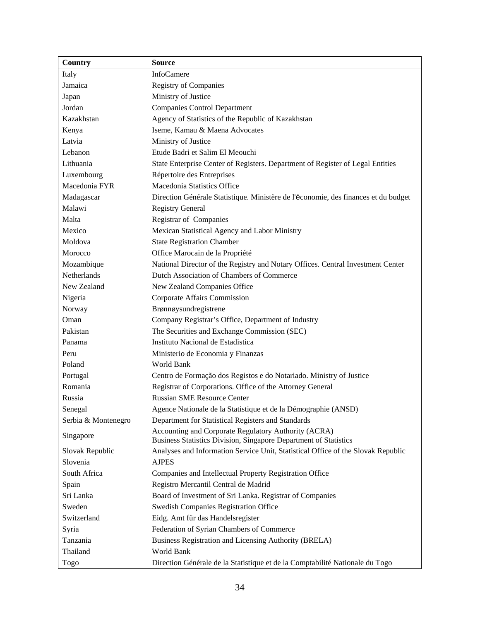| Country             | <b>Source</b>                                                                      |
|---------------------|------------------------------------------------------------------------------------|
| Italy               | InfoCamere                                                                         |
| Jamaica             | <b>Registry of Companies</b>                                                       |
| Japan               | Ministry of Justice                                                                |
| Jordan              | <b>Companies Control Department</b>                                                |
| Kazakhstan          | Agency of Statistics of the Republic of Kazakhstan                                 |
| Kenya               | Iseme, Kamau & Maena Advocates                                                     |
| Latvia              | Ministry of Justice                                                                |
| Lebanon             | Etude Badri et Salim El Meouchi                                                    |
| Lithuania           | State Enterprise Center of Registers. Department of Register of Legal Entities     |
| Luxembourg          | Répertoire des Entreprises                                                         |
| Macedonia FYR       | Macedonia Statistics Office                                                        |
| Madagascar          | Direction Générale Statistique. Ministère de l'économie, des finances et du budget |
| Malawi              | <b>Registry General</b>                                                            |
| Malta               | Registrar of Companies                                                             |
| Mexico              | Mexican Statistical Agency and Labor Ministry                                      |
| Moldova             | <b>State Registration Chamber</b>                                                  |
| Morocco             | Office Marocain de la Propriété                                                    |
| Mozambique          | National Director of the Registry and Notary Offices. Central Investment Center    |
| Netherlands         | Dutch Association of Chambers of Commerce                                          |
| New Zealand         | New Zealand Companies Office                                                       |
| Nigeria             | Corporate Affairs Commission                                                       |
| Norway              | Brønnøysundregistrene                                                              |
| Oman                | Company Registrar's Office, Department of Industry                                 |
| Pakistan            | The Securities and Exchange Commission (SEC)                                       |
| Panama              | Instituto Nacional de Estadística                                                  |
| Peru                | Ministerio de Economia y Finanzas                                                  |
| Poland              | World Bank                                                                         |
| Portugal            | Centro de Formação dos Registos e do Notariado. Ministry of Justice                |
| Romania             | Registrar of Corporations. Office of the Attorney General                          |
| Russia              | <b>Russian SME Resource Center</b>                                                 |
| Senegal             | Agence Nationale de la Statistique et de la Démographie (ANSD)                     |
| Serbia & Montenegro | Department for Statistical Registers and Standards                                 |
|                     | Accounting and Corporate Regulatory Authority (ACRA)                               |
| Singapore           | Business Statistics Division, Singapore Department of Statistics                   |
| Slovak Republic     | Analyses and Information Service Unit, Statistical Office of the Slovak Republic   |
| Slovenia            | <b>AJPES</b>                                                                       |
| South Africa        | Companies and Intellectual Property Registration Office                            |
| Spain               | Registro Mercantil Central de Madrid                                               |
| Sri Lanka           | Board of Investment of Sri Lanka. Registrar of Companies                           |
| Sweden              | Swedish Companies Registration Office                                              |
| Switzerland         | Eidg. Amt für das Handelsregister                                                  |
| Syria               | Federation of Syrian Chambers of Commerce                                          |
| Tanzania            | Business Registration and Licensing Authority (BRELA)                              |
| Thailand            | World Bank                                                                         |
| Togo                | Direction Générale de la Statistique et de la Comptabilité Nationale du Togo       |